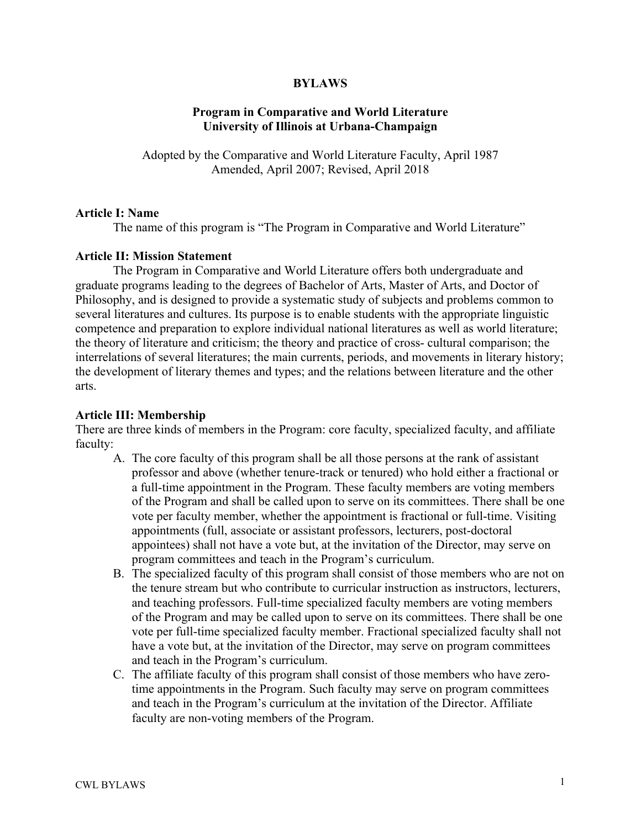# **BYLAWS**

# **Program in Comparative and World Literature University of Illinois at Urbana-Champaign**

Adopted by the Comparative and World Literature Faculty, April 1987 Amended, April 2007; Revised, April 2018

#### **Article I: Name**

The name of this program is "The Program in Comparative and World Literature"

### **Article II: Mission Statement**

The Program in Comparative and World Literature offers both undergraduate and graduate programs leading to the degrees of Bachelor of Arts, Master of Arts, and Doctor of Philosophy, and is designed to provide a systematic study of subjects and problems common to several literatures and cultures. Its purpose is to enable students with the appropriate linguistic competence and preparation to explore individual national literatures as well as world literature; the theory of literature and criticism; the theory and practice of cross- cultural comparison; the interrelations of several literatures; the main currents, periods, and movements in literary history; the development of literary themes and types; and the relations between literature and the other arts.

## **Article III: Membership**

There are three kinds of members in the Program: core faculty, specialized faculty, and affiliate faculty:

- A. The core faculty of this program shall be all those persons at the rank of assistant professor and above (whether tenure-track or tenured) who hold either a fractional or a full-time appointment in the Program. These faculty members are voting members of the Program and shall be called upon to serve on its committees. There shall be one vote per faculty member, whether the appointment is fractional or full-time. Visiting appointments (full, associate or assistant professors, lecturers, post-doctoral appointees) shall not have a vote but, at the invitation of the Director, may serve on program committees and teach in the Program's curriculum.
- B. The specialized faculty of this program shall consist of those members who are not on the tenure stream but who contribute to curricular instruction as instructors, lecturers, and teaching professors. Full-time specialized faculty members are voting members of the Program and may be called upon to serve on its committees. There shall be one vote per full-time specialized faculty member. Fractional specialized faculty shall not have a vote but, at the invitation of the Director, may serve on program committees and teach in the Program's curriculum.
- C. The affiliate faculty of this program shall consist of those members who have zerotime appointments in the Program. Such faculty may serve on program committees and teach in the Program's curriculum at the invitation of the Director. Affiliate faculty are non-voting members of the Program.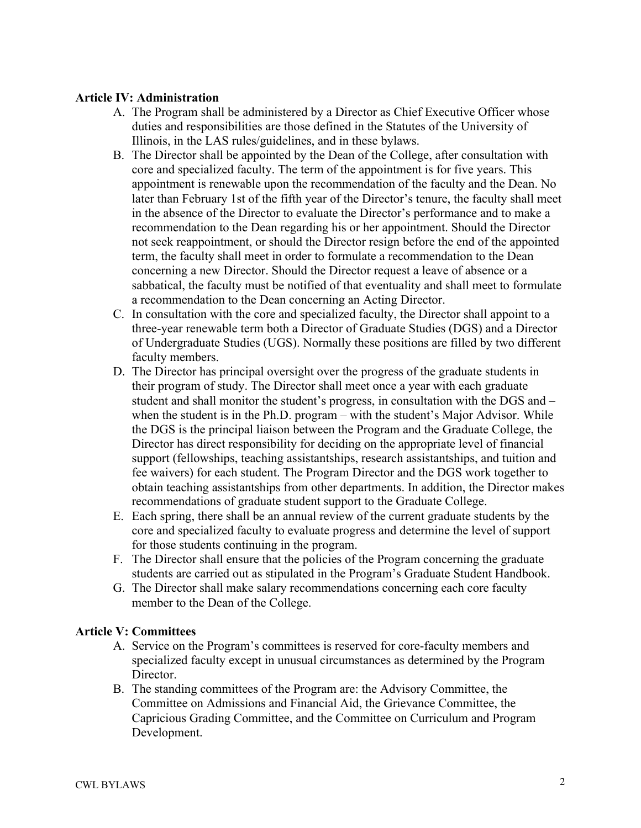# **Article IV: Administration**

- A. The Program shall be administered by a Director as Chief Executive Officer whose duties and responsibilities are those defined in the Statutes of the University of Illinois, in the LAS rules/guidelines, and in these bylaws.
- B. The Director shall be appointed by the Dean of the College, after consultation with core and specialized faculty. The term of the appointment is for five years. This appointment is renewable upon the recommendation of the faculty and the Dean. No later than February 1st of the fifth year of the Director's tenure, the faculty shall meet in the absence of the Director to evaluate the Director's performance and to make a recommendation to the Dean regarding his or her appointment. Should the Director not seek reappointment, or should the Director resign before the end of the appointed term, the faculty shall meet in order to formulate a recommendation to the Dean concerning a new Director. Should the Director request a leave of absence or a sabbatical, the faculty must be notified of that eventuality and shall meet to formulate a recommendation to the Dean concerning an Acting Director.
- C. In consultation with the core and specialized faculty, the Director shall appoint to a three-year renewable term both a Director of Graduate Studies (DGS) and a Director of Undergraduate Studies (UGS). Normally these positions are filled by two different faculty members.
- D. The Director has principal oversight over the progress of the graduate students in their program of study. The Director shall meet once a year with each graduate student and shall monitor the student's progress, in consultation with the DGS and – when the student is in the Ph.D. program – with the student's Major Advisor. While the DGS is the principal liaison between the Program and the Graduate College, the Director has direct responsibility for deciding on the appropriate level of financial support (fellowships, teaching assistantships, research assistantships, and tuition and fee waivers) for each student. The Program Director and the DGS work together to obtain teaching assistantships from other departments. In addition, the Director makes recommendations of graduate student support to the Graduate College.
- E. Each spring, there shall be an annual review of the current graduate students by the core and specialized faculty to evaluate progress and determine the level of support for those students continuing in the program.
- F. The Director shall ensure that the policies of the Program concerning the graduate students are carried out as stipulated in the Program's Graduate Student Handbook.
- G. The Director shall make salary recommendations concerning each core faculty member to the Dean of the College.

# **Article V: Committees**

- A. Service on the Program's committees is reserved for core-faculty members and specialized faculty except in unusual circumstances as determined by the Program Director.
- B. The standing committees of the Program are: the Advisory Committee, the Committee on Admissions and Financial Aid, the Grievance Committee, the Capricious Grading Committee, and the Committee on Curriculum and Program Development.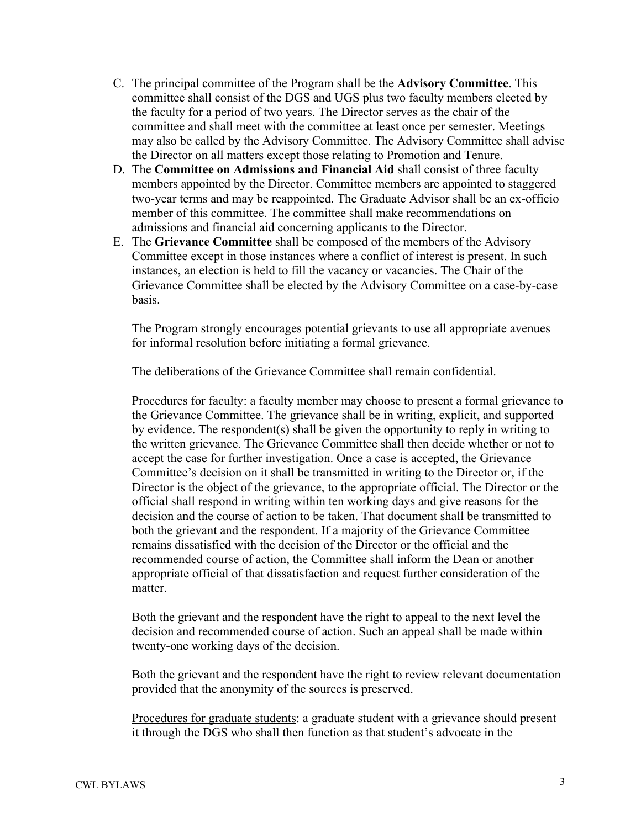- C. The principal committee of the Program shall be the **Advisory Committee**. This committee shall consist of the DGS and UGS plus two faculty members elected by the faculty for a period of two years. The Director serves as the chair of the committee and shall meet with the committee at least once per semester. Meetings may also be called by the Advisory Committee. The Advisory Committee shall advise the Director on all matters except those relating to Promotion and Tenure.
- D. The **Committee on Admissions and Financial Aid** shall consist of three faculty members appointed by the Director. Committee members are appointed to staggered two-year terms and may be reappointed. The Graduate Advisor shall be an ex-officio member of this committee. The committee shall make recommendations on admissions and financial aid concerning applicants to the Director.
- E. The **Grievance Committee** shall be composed of the members of the Advisory Committee except in those instances where a conflict of interest is present. In such instances, an election is held to fill the vacancy or vacancies. The Chair of the Grievance Committee shall be elected by the Advisory Committee on a case-by-case basis.

The Program strongly encourages potential grievants to use all appropriate avenues for informal resolution before initiating a formal grievance.

The deliberations of the Grievance Committee shall remain confidential.

Procedures for faculty: a faculty member may choose to present a formal grievance to the Grievance Committee. The grievance shall be in writing, explicit, and supported by evidence. The respondent(s) shall be given the opportunity to reply in writing to the written grievance. The Grievance Committee shall then decide whether or not to accept the case for further investigation. Once a case is accepted, the Grievance Committee's decision on it shall be transmitted in writing to the Director or, if the Director is the object of the grievance, to the appropriate official. The Director or the official shall respond in writing within ten working days and give reasons for the decision and the course of action to be taken. That document shall be transmitted to both the grievant and the respondent. If a majority of the Grievance Committee remains dissatisfied with the decision of the Director or the official and the recommended course of action, the Committee shall inform the Dean or another appropriate official of that dissatisfaction and request further consideration of the matter.

Both the grievant and the respondent have the right to appeal to the next level the decision and recommended course of action. Such an appeal shall be made within twenty-one working days of the decision.

Both the grievant and the respondent have the right to review relevant documentation provided that the anonymity of the sources is preserved.

Procedures for graduate students: a graduate student with a grievance should present it through the DGS who shall then function as that student's advocate in the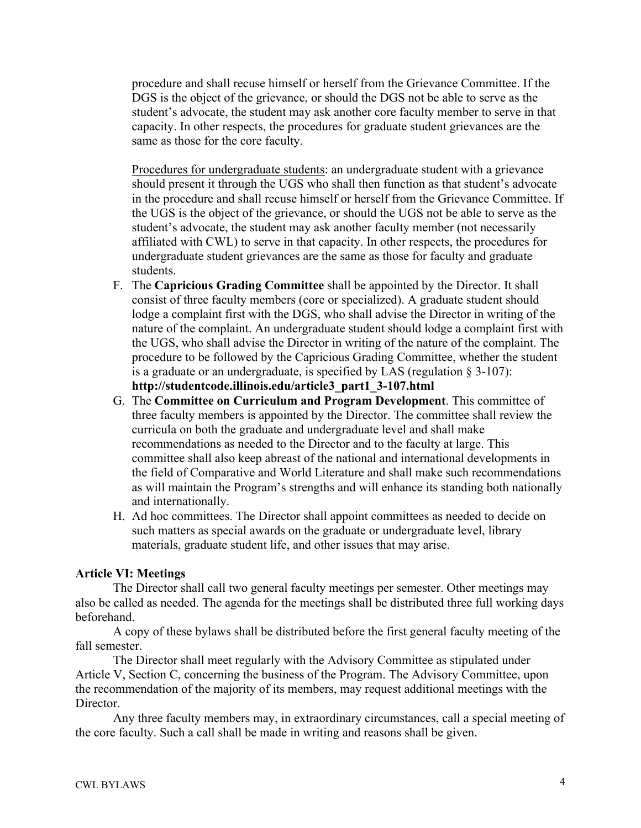procedure and shall recuse himself or herself from the Grievance Committee. If the DGS is the object of the grievance, or should the DGS not be able to serve as the student's advocate, the student may ask another core faculty member to serve in that capacity. In other respects, the procedures for graduate student grievances are the same as those for the core faculty.

Procedures for undergraduate students: an undergraduate student with a grievance should present it through the UGS who shall then function as that student's advocate in the procedure and shall recuse himself or herself from the Grievance Committee. If the UGS is the object of the grievance, or should the UGS not be able to serve as the student's advocate, the student may ask another faculty member (not necessarily affiliated with CWL) to serve in that capacity. In other respects, the procedures for undergraduate student grievances are the same as those for faculty and graduate students.

- F. The **Capricious Grading Committee** shall be appointed by the Director. It shall consist of three faculty members (core or specialized). A graduate student should lodge a complaint first with the DGS, who shall advise the Director in writing of the nature of the complaint. An undergraduate student should lodge a complaint first with the UGS, who shall advise the Director in writing of the nature of the complaint. The procedure to be followed by the Capricious Grading Committee, whether the student is a graduate or an undergraduate, is specified by LAS (regulation § 3-107): **http://studentcode.illinois.edu/article3\_part1\_3-107.html**
- G. The **Committee on Curriculum and Program Development**. This committee of three faculty members is appointed by the Director. The committee shall review the curricula on both the graduate and undergraduate level and shall make recommendations as needed to the Director and to the faculty at large. This committee shall also keep abreast of the national and international developments in the field of Comparative and World Literature and shall make such recommendations as will maintain the Program's strengths and will enhance its standing both nationally and internationally.
- H. Ad hoc committees. The Director shall appoint committees as needed to decide on such matters as special awards on the graduate or undergraduate level, library materials, graduate student life, and other issues that may arise.

### **Article VI: Meetings**

The Director shall call two general faculty meetings per semester. Other meetings may also be called as needed. The agenda for the meetings shall be distributed three full working days beforehand.

A copy of these bylaws shall be distributed before the first general faculty meeting of the fall semester.

The Director shall meet regularly with the Advisory Committee as stipulated under Article V, Section C, concerning the business of the Program. The Advisory Committee, upon the recommendation of the majority of its members, may request additional meetings with the Director.

Any three faculty members may, in extraordinary circumstances, call a special meeting of the core faculty. Such a call shall be made in writing and reasons shall be given.